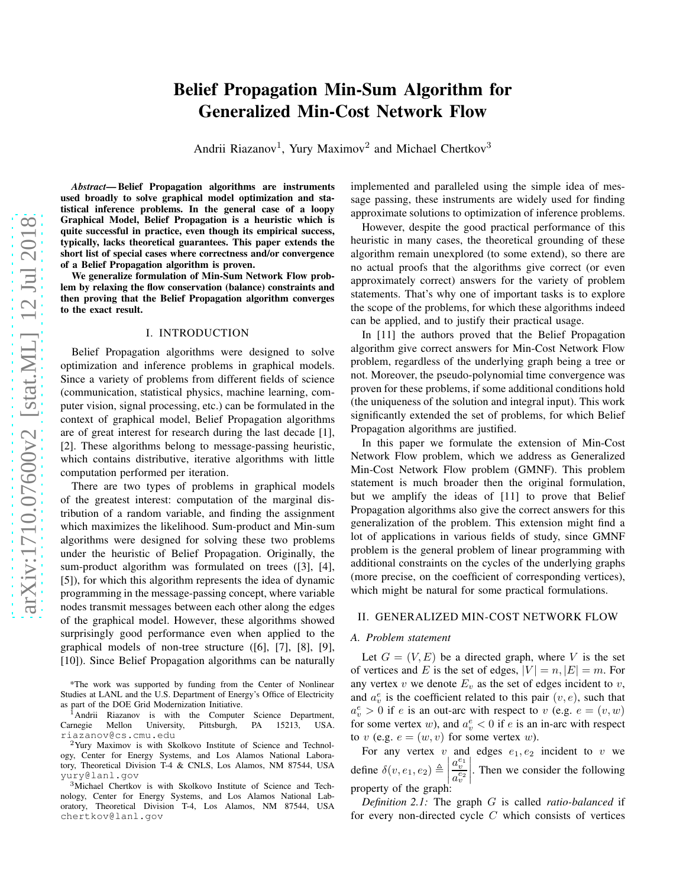# Belief Propagation Min-Sum Algorithm for Generalized Min-Cost Network Flow

Andrii Riazanov<sup>1</sup>, Yury Maximov<sup>2</sup> and Michael Chertkov<sup>3</sup>

*Abstract*— Belief Propagation algorithms are instruments used broadly to solve graphical model optimization and statistical inference problems. In the general case of a loopy Graphical Model, Belief Propagation is a heuristic which is quite successful in practice, even though its empirical success, typically, lacks theoretical guarantees. This paper extends the short list of special cases where correctness and/or convergence of a Belief Propagation algorithm is proven.

We generalize formulation of Min-Sum Network Flow problem by relaxing the flow conservation (balance) constraints and then proving that the Belief Propagation algorithm converges to the exact result.

#### I. INTRODUCTION

Belief Propagation algorithms were designed to solve optimization and inference problems in graphical models. Since a variety of problems from different fields of science (communication, statistical physics, machine learning, computer vision, signal processing, etc.) can be formulated in the context of graphical model, Belief Propagation algorithms are of great interest for research during the last decade [1], [2]. These algorithms belong to message-passing heuristic, which contains distributive, iterative algorithms with little computation performed per iteration.

There are two types of problems in graphical models of the greatest interest: computation of the marginal distribution of a random variable, and finding the assignment which maximizes the likelihood. Sum-product and Min-sum algorithms were designed for solving these two problems under the heuristic of Belief Propagation. Originally, the sum-product algorithm was formulated on trees ([3], [4], [5]), for which this algorithm represents the idea of dynamic programming in the message-passing concept, where variable nodes transmit messages between each other along the edges of the graphical model. However, these algorithms showed surprisingly good performance even when applied to the graphical models of non-tree structure ([6], [7], [8], [9], [10]). Since Belief Propagation algorithms can be naturally

\*The work was supported by funding from the Center of Nonlinear Studies at LANL and the U.S. Department of Energy's Office of Electricity as part of the DOE Grid Modernization Initiative.

<sup>1</sup> Andrii Riazanov is with the Computer Science Department, rnegie Mellon University, Pittsburgh, PA 15213, USA. Carnegie Mellon University, Pittsburgh, PA 15213, USA. riazanov@cs.cmu.edu

<sup>2</sup>Yury Maximov is with Skolkovo Institute of Science and Technology, Center for Energy Systems, and Los Alamos National Laboratory, Theoretical Division T-4 & CNLS, Los Alamos, NM 87544, USA yury@lanl.gov

<sup>3</sup>Michael Chertkov is with Skolkovo Institute of Science and Technology, Center for Energy Systems, and Los Alamos National Laboratory, Theoretical Division T-4, Los Alamos, NM 87544, USA chertkov@lanl.gov

implemented and paralleled using the simple idea of message passing, these instruments are widely used for finding approximate solutions to optimization of inference problems.

However, despite the good practical performance of this heuristic in many cases, the theoretical grounding of these algorithm remain unexplored (to some extend), so there are no actual proofs that the algorithms give correct (or even approximately correct) answers for the variety of problem statements. That's why one of important tasks is to explore the scope of the problems, for which these algorithms indeed can be applied, and to justify their practical usage.

In [11] the authors proved that the Belief Propagation algorithm give correct answers for Min-Cost Network Flow problem, regardless of the underlying graph being a tree or not. Moreover, the pseudo-polynomial time convergence was proven for these problems, if some additional conditions hold (the uniqueness of the solution and integral input). This work significantly extended the set of problems, for which Belief Propagation algorithms are justified.

In this paper we formulate the extension of Min-Cost Network Flow problem, which we address as Generalized Min-Cost Network Flow problem (GMNF). This problem statement is much broader then the original formulation, but we amplify the ideas of [11] to prove that Belief Propagation algorithms also give the correct answers for this generalization of the problem. This extension might find a lot of applications in various fields of study, since GMNF problem is the general problem of linear programming with additional constraints on the cycles of the underlying graphs (more precise, on the coefficient of corresponding vertices), which might be natural for some practical formulations.

# II. GENERALIZED MIN-COST NETWORK FLOW

#### *A. Problem statement*

Let  $G = (V, E)$  be a directed graph, where V is the set of vertices and E is the set of edges,  $|V| = n$ ,  $|E| = m$ . For any vertex v we denote  $E_v$  as the set of edges incident to v, and  $a_v^e$  is the coefficient related to this pair  $(v, e)$ , such that  $a_v^e > 0$  if e is an out-arc with respect to v (e.g.  $e = (v, w)$ ) for some vertex w), and  $a_v^e < 0$  if e is an in-arc with respect to v (e.g.  $e = (w, v)$  for some vertex w).

For any vertex  $v$  and edges  $e_1, e_2$  incident to  $v$  we define  $\delta(v, e_1, e_2) \triangleq$  $a_v^{e_1}$  $a_v^{e_2}$  . Then we consider the following property of the graph:

*Definition 2.1:* The graph G is called *ratio-balanced* if for every non-directed cycle  $C$  which consists of vertices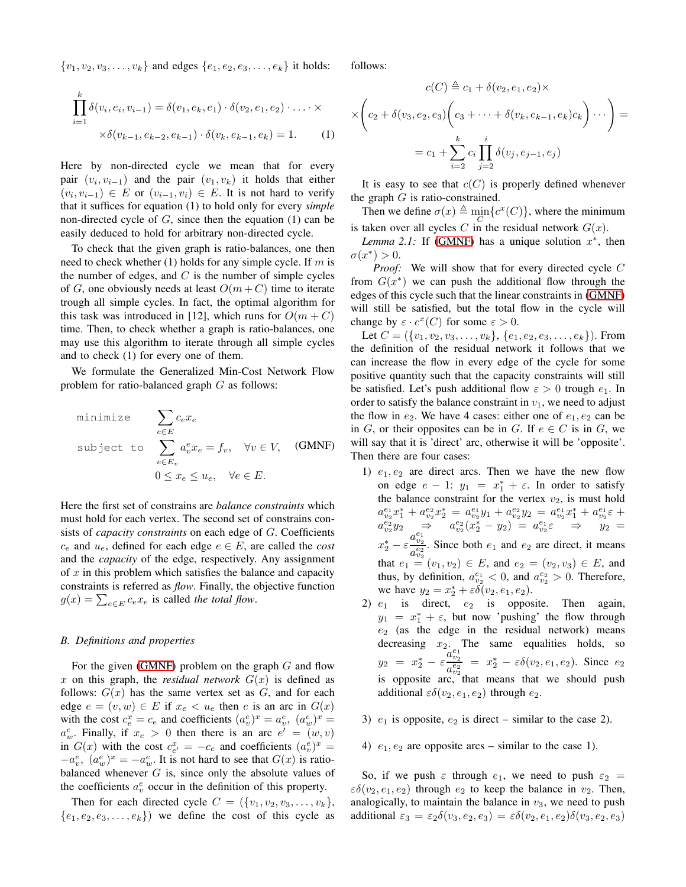$\{v_1, v_2, v_3, \ldots, v_k\}$  and edges  $\{e_1, e_2, e_3, \ldots, e_k\}$  it holds:

$$
\prod_{i=1}^{k} \delta(v_i, e_i, v_{i-1}) = \delta(v_1, e_k, e_1) \cdot \delta(v_2, e_1, e_2) \cdot \ldots \cdot \times \times \delta(v_{k-1}, e_{k-2}, e_{k-1}) \cdot \delta(v_k, e_{k-1}, e_k) = 1.
$$
 (1)

Here by non-directed cycle we mean that for every pair  $(v_i, v_{i-1})$  and the pair  $(v_1, v_k)$  it holds that either  $(v_i, v_{i-1}) \in E$  or  $(v_{i-1}, v_i) \in E$ . It is not hard to verify that it suffices for equation (1) to hold only for every *simple* non-directed cycle of  $G$ , since then the equation  $(1)$  can be easily deduced to hold for arbitrary non-directed cycle.

To check that the given graph is ratio-balances, one then need to check whether  $(1)$  holds for any simple cycle. If m is the number of edges, and  $C$  is the number of simple cycles of G, one obviously needs at least  $O(m+C)$  time to iterate trough all simple cycles. In fact, the optimal algorithm for this task was introduced in [12], which runs for  $O(m+C)$ time. Then, to check whether a graph is ratio-balances, one may use this algorithm to iterate through all simple cycles and to check (1) for every one of them.

We formulate the Generalized Min-Cost Network Flow problem for ratio-balanced graph  $G$  as follows:

minimize 
$$
\sum_{e \in E} c_e x_e
$$
  
subject to 
$$
\sum_{e \in E_v} a_v^e x_e = f_v, \quad \forall v \in V, \quad \text{(GMP)}
$$

$$
0 \le x_e \le u_e, \quad \forall e \in E.
$$

Here the first set of constrains are *balance constraints* which must hold for each vertex. The second set of constrains consists of *capacity constraints* on each edge of G. Coefficients  $c_e$  and  $u_e$ , defined for each edge  $e \in E$ , are called the *cost* and the *capacity* of the edge, respectively. Any assignment of  $x$  in this problem which satisfies the balance and capacity constraints is referred as *flow*. Finally, the objective function  $g(x) = \sum_{e \in E} c_e x_e$  is called *the total flow*.

#### *B. Definitions and properties*

For the given [\(GMNF\)](#page-1-0) problem on the graph  $G$  and flow x on this graph, the *residual network*  $G(x)$  is defined as follows:  $G(x)$  has the same vertex set as  $G$ , and for each edge  $e = (v, w) \in E$  if  $x_e < u_e$  then e is an arc in  $G(x)$ with the cost  $c_e^x = c_e$  and coefficients  $(a_v^e)^x = a_v^e$ ,  $(a_w^e)^x = a_v^e$  $a_w^e$ . Finally, if  $x_e > 0$  then there is an arc  $e' = (w, v)$ in  $G(x)$  with the cost  $c_{e'}^x = -c_e$  and coefficients  $(a_v^e)^x =$  $-a_v^e$ ,  $(a_w^e)^x = -a_w^e$ . It is not hard to see that  $G(x)$  is ratiobalanced whenever  $G$  is, since only the absolute values of the coefficients  $a_v^e$  occur in the definition of this property.

Then for each directed cycle  $C = (\{v_1, v_2, v_3, \ldots, v_k\},\)$  $\{e_1, e_2, e_3, \ldots, e_k\}$  we define the cost of this cycle as

follows:

$$
c(C) \triangleq c_1 + \delta(v_2, e_1, e_2) \times
$$
  
 
$$
\times \left(c_2 + \delta(v_3, e_2, e_3) \left(c_3 + \dots + \delta(v_k, e_{k-1}, e_k)c_k\right) \dots\right) =
$$
  

$$
= c_1 + \sum_{i=2}^k c_i \prod_{j=2}^i \delta(v_j, e_{j-1}, e_j)
$$

It is easy to see that  $c(C)$  is properly defined whenever the graph  $G$  is ratio-constrained.

Then we define  $\sigma(x) \triangleq \min\{c^x(C)\}\text{, where the minimum$ is taken over all cycles C in the residual network  $G(x)$ .

<span id="page-1-1"></span>*Lemma 2.1:* If [\(GMNF\)](#page-1-0) has a unique solution  $x^*$ , then  $\sigma(x^*) > 0.$ 

*Proof:* We will show that for every directed cycle C from  $G(x^*)$  we can push the additional flow through the edges of this cycle such that the linear constraints in [\(GMNF\)](#page-1-0) will still be satisfied, but the total flow in the cycle will change by  $\varepsilon \cdot c^x(C)$  for some  $\varepsilon > 0$ .

Let  $C = (\{v_1, v_2, v_3, \ldots, v_k\}, \{e_1, e_2, e_3, \ldots, e_k\})$ . From the definition of the residual network it follows that we can increase the flow in every edge of the cycle for some positive quantity such that the capacity constraints will still be satisfied. Let's push additional flow  $\varepsilon > 0$  trough  $e_1$ . In order to satisfy the balance constraint in  $v_1$ , we need to adjust the flow in  $e_2$ . We have 4 cases: either one of  $e_1, e_2$  can be in G, or their opposites can be in G. If  $e \in C$  is in G, we will say that it is 'direct' arc, otherwise it will be 'opposite'. Then there are four cases:

- <span id="page-1-0"></span>1)  $e_1, e_2$  are direct arcs. Then we have the new flow on edge  $e - 1$ :  $y_1 = x_1^* + \varepsilon$ . In order to satisfy the balance constraint for the vertex  $v_2$ , is must hold  $a_{v_2}^{e_1}x_1^* + a_{v_2}^{e_2}x_2^* = a_{v_2}^{e_1}y_1 + a_{v_2}^{e_2}y_2 = a_{v_2}^{e_1}x_1^* + a_{v_2}^{e_1}\varepsilon +$  $a_{v_2}^{e_2}y_2 \Rightarrow a_{v_2}^{e_2}(x_2^*-y_2) = a_{v_2}^{e_1}\varepsilon \Rightarrow y_2 =$  $x_2^*-\varepsilon \frac{a_{v_2}^{e_1}}{e^{e_2}}$  $\frac{a_{v_2}}{a_{v_2}}$ . Since both  $e_1$  and  $e_2$  are direct, it means that  $e_1 = (v_1, v_2) \in E$ , and  $e_2 = (v_2, v_3) \in E$ , and thus, by definition,  $a_{v_2}^{e_1} < 0$ , and  $a_{v_2}^{e_2} > 0$ . Therefore, we have  $y_2 = x_2^* + \varepsilon \delta(v_2, e_1, e_2)$ .
- 2)  $e_1$  is direct,  $e_2$  is opposite. Then again,  $y_1 = x_1^* + \varepsilon$ , but now 'pushing' the flow through  $e_2$  (as the edge in the residual network) means decreasing  $x_2$ . The same equalities holds, so  $y_2 = x_2^* - \varepsilon \frac{a_{v_2}^{e_1}}{a_{v_2}^{e_2}}$  $\frac{a_{v_2}}{a_{v_2}} = x_2^* - \varepsilon \delta(v_2, e_1, e_2)$ . Since  $e_2$ is opposite arc, that means that we should push additional  $\varepsilon \delta(v_2, e_1, e_2)$  through  $e_2$ .
- 3)  $e_1$  is opposite,  $e_2$  is direct similar to the case 2).
- 4)  $e_1, e_2$  are opposite arcs similar to the case 1).

So, if we push  $\varepsilon$  through  $e_1$ , we need to push  $\varepsilon_2$  =  $\varepsilon \delta(v_2, e_1, e_2)$  through  $e_2$  to keep the balance in  $v_2$ . Then, analogically, to maintain the balance in  $v_3$ , we need to push additional  $\varepsilon_3 = \varepsilon_2 \delta(v_3, e_2, e_3) = \varepsilon \delta(v_2, e_1, e_2) \delta(v_3, e_2, e_3)$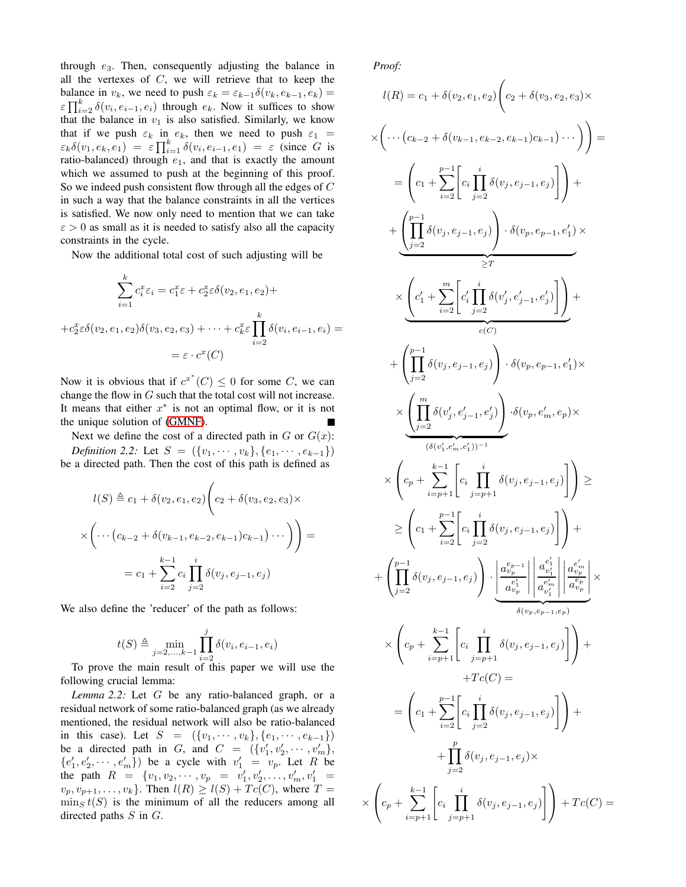through  $e_3$ . Then, consequently adjusting the balance in all the vertexes of  $C$ , we will retrieve that to keep the balance in  $v_k$ , we need to push  $\varepsilon_k = \varepsilon_{k-1}\delta(v_k, e_{k-1}, e_k)$  $\epsilon \prod_{i=2}^{k} \delta(v_i, e_{i-1}, e_i)$  through  $e_k$ . Now it suffices to show that the balance in  $v_1$  is also satisfied. Similarly, we know that if we push  $\varepsilon_k$  in  $e_k$ , then we need to push  $\varepsilon_1$  =  $\varepsilon_k \delta(v_1, e_k, e_1) = \varepsilon \prod_{i=1}^k \delta(v_i, e_{i-1}, e_1) = \varepsilon$  (since G is ratio-balanced) through  $e_1$ , and that is exactly the amount which we assumed to push at the beginning of this proof. So we indeed push consistent flow through all the edges of C in such a way that the balance constraints in all the vertices is satisfied. We now only need to mention that we can take  $\epsilon > 0$  as small as it is needed to satisfy also all the capacity constraints in the cycle.

Now the additional total cost of such adjusting will be

$$
\sum_{i=1}^{k} c_i^x \varepsilon_i = c_1^x \varepsilon + c_2^x \varepsilon \delta(v_2, e_1, e_2) +
$$

$$
+ c_2^x \varepsilon \delta(v_2, e_1, e_2) \delta(v_3, e_2, e_3) + \dots + c_k^x \varepsilon \prod_{i=2}^{k} \delta(v_i, e_{i-1}, e_i) =
$$

$$
= \varepsilon \cdot c^x(C)
$$

Now it is obvious that if  $c^{x^*}(C) \leq 0$  for some C, we can change the flow in  $G$  such that the total cost will not increase. It means that either  $x^*$  is not an optimal flow, or it is not the unique solution of [\(GMNF\)](#page-1-0).

Next we define the cost of a directed path in  $G$  or  $G(x)$ :

*Definition 2.2:* Let  $S = (\{v_1, \dots, v_k\}, \{e_1, \dots, e_{k-1}\})$ be a directed path. Then the cost of this path is defined as

$$
l(S) \triangleq c_1 + \delta(v_2, e_1, e_2) \left( c_2 + \delta(v_3, e_2, e_3) \times \times \left( \cdots \left( c_{k-2} + \delta(v_{k-1}, e_{k-2}, e_{k-1}) c_{k-1} \right) \cdots \right) \right) =
$$
  
= 
$$
c_1 + \sum_{i=2}^{k-1} c_i \prod_{j=2}^i \delta(v_j, e_{j-1}, e_j)
$$

We also define the 'reducer' of the path as follows:

<span id="page-2-0"></span>
$$
t(S) \triangleq \min_{j=2,\ldots,k-1} \prod_{i=2}^{j} \delta(v_i, e_{i-1}, e_i)
$$

To prove the main result of this paper we will use the following crucial lemma:

*Lemma 2.2:* Let G be any ratio-balanced graph, or a residual network of some ratio-balanced graph (as we already mentioned, the residual network will also be ratio-balanced in this case). Let  $S = (\{v_1, \dots, v_k\}, \{e_1, \dots, e_{k-1}\})$ be a directed path in G, and  $C = (\{v'_1, v'_2, \dots, v'_m\},\)$  $\{e'_1, e'_2, \cdots, e'_m\}$  be a cycle with  $v'_1 = v_p$ . Let R be the path  $R = \{v_1, v_2, \dots, v_p = v'_1, v'_2, \dots, v'_m, v'_1 =$  $v_p, v_{p+1}, \ldots, v_k$ . Then  $l(R) \ge l(S) + Tc(C)$ , where  $T =$  $\min_{S} t(S)$  is the minimum of all the reducers among all directed paths S in G.

*Proof:*

×

$$
l(R) = c_1 + \delta(v_2, e_1, e_2) \Bigg( c_2 + \delta(v_3, e_2, e_3) \times
$$

$$
\times \left( \cdots (c_{k-2} + \delta(v_{k-1}, e_{k-2}, e_{k-1})c_{k-1}) \cdots \right) =
$$
\n
$$
= \left( c_1 + \sum_{i=2}^{p-1} \left[ c_i \prod_{j=2}^{i} \delta(v_j, e_{j-1}, e_j) \right] + \left( \prod_{j=2}^{p-1} \delta(v_j, e_{j-1}, e_j) \right) \cdot \delta(v_p, e_{p-1}, e_1') \times \right.
$$
\n
$$
\times \left( c_1' + \sum_{i=2}^{m} \left[ c_i' \prod_{j=2}^{i} \delta(v_j', e_{j-1}', e_j') \right] \right) +
$$
\n
$$
+ \left( \prod_{j=2}^{p-1} \delta(v_j, e_{j-1}, e_j) \right) \cdot \delta(v_p, e_{p-1}, e_1') \times \left( \prod_{j=2}^{m} \delta(v_j', e_{j-1}', e_j') \right) \cdot \delta(v_p, e_m', e_p) \times
$$
\n
$$
\times \left( \prod_{j=2}^{m} \delta(v_j', e_{j-1}', e_j') \right) \cdot \delta(v_p, e_m', e_p) \times
$$
\n
$$
\left( c_0 \cdot \sum_{i=p+1}^{k-1} \left[ c_i \prod_{j=p+1}^{i} \delta(v_j, e_{j-1}, e_j) \right] \right) \ge
$$
\n
$$
\ge \left( c_1 + \sum_{i=p+1}^{p-1} \left[ c_i \prod_{j=p+1}^{i} \delta(v_j, e_{j-1}, e_j) \right] \right) +
$$
\n
$$
+ \left( \prod_{j=2}^{p-1} \delta(v_j, e_{j-1}, e_j) \right) \cdot \left| \frac{a_{v_p}^{e_p}}{a_{v_p}^{e_p}} \right| \frac{a_{v_p}^{e_p}}{a_{v_p}^{e_p}} \right| \times
$$
\n
$$
\times \left( c_p + \sum_{i=p+1}^{k-1} \left[ c_i \prod_{j=p+1}^{i} \delta(v_j, e_{j-1}, e_j) \right] \right) +
$$
\n
$$
+ Tc(C) =
$$
\n
$$
= \left( c_1 + \sum_{j=2}^{p-1} \left[ c_i \prod_{j=p+1}^{i} \
$$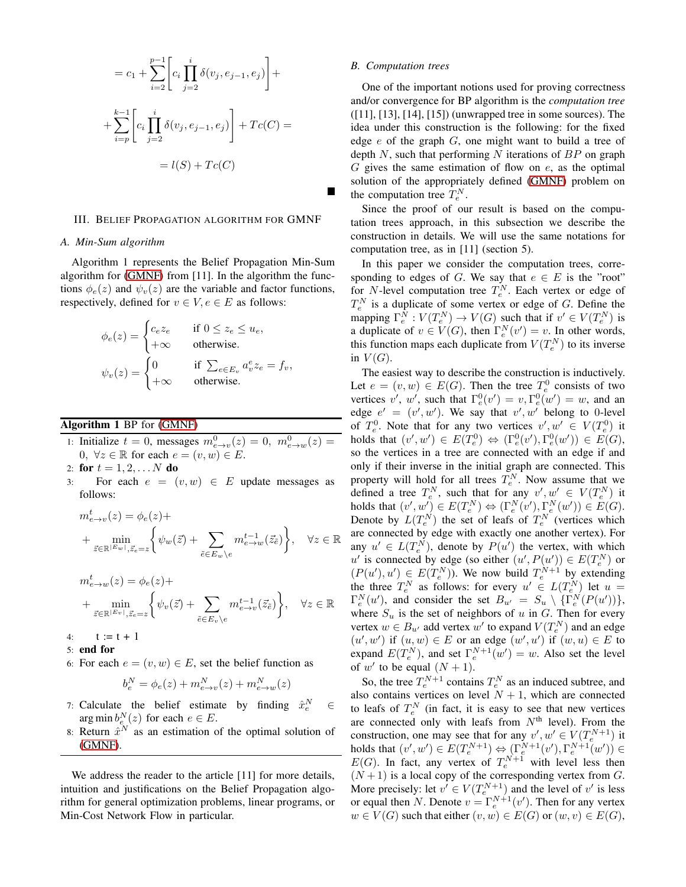$$
= c_1 + \sum_{i=2}^{p-1} \left[ c_i \prod_{j=2}^i \delta(v_j, e_{j-1}, e_j) \right] +
$$
  
+ 
$$
\sum_{i=p}^{k-1} \left[ c_i \prod_{j=2}^i \delta(v_j, e_{j-1}, e_j) \right] + Tc(C) =
$$
  
= 
$$
l(S) + Tc(C)
$$

### III. BELIEF PROPAGATION ALGORITHM FOR GMNF

#### *A. Min-Sum algorithm*

Algorithm 1 represents the Belief Propagation Min-Sum algorithm for [\(GMNF\)](#page-1-0) from [11]. In the algorithm the functions  $\phi_e(z)$  and  $\psi_v(z)$  are the variable and factor functions, respectively, defined for  $v \in V, e \in E$  as follows:

$$
\phi_e(z) = \begin{cases} c_e z_e & \text{if } 0 \le z_e \le u_e, \\ +\infty & \text{otherwise.} \end{cases}
$$
  

$$
\psi_v(z) = \begin{cases} 0 & \text{if } \sum_{e \in E_v} a_v^e z_e = f_v, \\ +\infty & \text{otherwise.} \end{cases}
$$

# Algorithm 1 BP for [\(GMNF\)](#page-1-0)

- 1: Initialize  $t = 0$ , messages  $m_{e \to v}^0(z) = 0$ ,  $m_{e \to w}^0(z) = 0$ 0,  $\forall z \in \mathbb{R}$  for each  $e = (v, w) \in E$ .
- 2: for  $t = 1, 2, ... N$  do
- 3: For each  $e = (v, w) \in E$  update messages as follows:

$$
m_{e \to v}^{t}(z) = \phi_e(z) +
$$
  
+ 
$$
\min_{\vec{z} \in \mathbb{R}^{|E_w|}, \vec{z}_e = z} \left\{ \psi_w(\vec{z}) + \sum_{\tilde{e} \in E_w \setminus e} m_{e \to w}^{t-1}(\vec{z}_{\tilde{e}}) \right\}, \quad \forall z \in \mathbb{R}
$$

$$
m_{e \to w}^{t}(z) = \phi_e(z) +
$$
  
+ 
$$
\min_{\vec{z} \in \mathbb{R}^{|E_v|}, \vec{z}_e = z} \left\{ \psi_v(\vec{z}) + \sum_{\tilde{e} \in E_v \backslash e} m_{e \to v}^{t-1}(\vec{z}_{\tilde{e}}) \right\}, \quad \forall z \in \mathbb{R}
$$

- 4:  $t := t + 1$
- 5: end for
- 6: For each  $e = (v, w) \in E$ , set the belief function as

$$
b_e^N = \phi_e(z) + m_{e \to v}^N(z) + m_{e \to w}^N(z)
$$

- 7: Calculate the belief estimate by finding  $\hat{x}_e^N \in$ arg min  $b_e^N(z)$  for each  $e \in E$ .
- 8: Return  $\hat{x}^N$  as an estimation of the optimal solution of [\(GMNF\)](#page-1-0).

We address the reader to the article [11] for more details, intuition and justifications on the Belief Propagation algorithm for general optimization problems, linear programs, or Min-Cost Network Flow in particular.

# *B. Computation trees*

One of the important notions used for proving correctness and/or convergence for BP algorithm is the *computation tree* ([11], [13], [14], [15]) (unwrapped tree in some sources). The idea under this construction is the following: for the fixed edge  $e$  of the graph  $G$ , one might want to build a tree of depth  $N$ , such that performing  $N$  iterations of  $BP$  on graph  $G$  gives the same estimation of flow on  $e$ , as the optimal solution of the appropriately defined [\(GMNF\)](#page-1-0) problem on the computation tree  $T_e^N$ .

Since the proof of our result is based on the computation trees approach, in this subsection we describe the construction in details. We will use the same notations for computation tree, as in [11] (section 5).

In this paper we consider the computation trees, corresponding to edges of G. We say that  $e \in E$  is the "root" for *N*-level computation tree  $T_e^N$ . Each vertex or edge of  $T_e^N$  is a duplicate of some vertex or edge of G. Define the mapping  $\Gamma_e^N : V(T_e^N) \to V(G)$  such that if  $v' \in V(T_e^N)$  is a duplicate of  $v \in V(G)$ , then  $\Gamma_e^N(v') = v$ . In other words, this function maps each duplicate from  $V(T_e^N)$  to its inverse in  $V(G)$ .

The easiest way to describe the construction is inductively. Let  $e = (v, w) \in E(G)$ . Then the tree  $T_e^0$  consists of two vertices v', w', such that  $\Gamma_e^0(v') = v, \Gamma_e^0(w') = w$ , and an edge  $e' = (v', w')$ . We say that  $v', w'$  belong to 0-level of  $T_e^0$ . Note that for any two vertices  $v', w' \in V(T_e^0)$  it holds that  $(v', w') \in E(T_e^0) \Leftrightarrow (\Gamma_e^0(v'), \Gamma_e^0(w')) \in E(G)$ , so the vertices in a tree are connected with an edge if and only if their inverse in the initial graph are connected. This property will hold for all trees  $T_e^N$ . Now assume that we defined a tree  $T_e^N$ , such that for any  $v', w' \in V(T_e^N)$  it holds that  $(v', w') \in E(T_e^N) \Leftrightarrow (\Gamma_e^N(v'), \Gamma_e^N(w')) \in E(G)$ . Denote by  $L(T_e^N)$  the set of leafs of  $T_e^N$  (vertices which are connected by edge with exactly one another vertex). For any  $u' \in L(T_e^N)$ , denote by  $P(u')$  the vertex, with which  $u'$  is connected by edge (so either  $(u', P(u')) \in E(T_e^N)$  or  $(P(u'), u') \in E(T_e^N)$ ). We now build  $T_e^{N+1}$  by extending the three  $T_e^N$  as follows: for every  $u' \in L(T_e^N)$  let  $u =$  $\Gamma_e^N(u')$ , and consider the set  $B_{u'} = S_u \setminus {\{\Gamma_e^N(P(u'))\}},$ where  $S_u$  is the set of neighbors of u in G. Then for every vertex  $w \in B_{u'}$  add vertex  $w'$  to expand  $V(T_e^N)$  and an edge  $(u', w')$  if  $(u, w) \in E$  or an edge  $(w', u')$  if  $(w, u) \in E$  to expand  $E(T_e^N)$ , and set  $\Gamma_e^{N+1}(w') = w$ . Also set the level of w' to be equal  $(N + 1)$ .

So, the tree  $T_e^{N+1}$  contains  $T_e^N$  as an induced subtree, and also contains vertices on level  $N + 1$ , which are connected to leafs of  $T_e^N$  (in fact, it is easy to see that new vertices are connected only with leafs from  $N<sup>th</sup>$  level). From the construction, one may see that for any  $v', w' \in V(T_e^{N+1})$  it holds that  $(v', w') \in E(T_e^{N+1}) \Leftrightarrow (\Gamma_e^{N+1}(v'), \Gamma_e^{N+1}(w')) \in$  $E(G)$ . In fact, any vertex of  $T_e^{N+1}$  with level less then  $(N+1)$  is a local copy of the corresponding vertex from G. More precisely: let  $v' \in V(T_e^{N+1})$  and the level of  $v'$  is less or equal then N. Denote  $v = \Gamma_e^{N+1}(v')$ . Then for any vertex  $w \in V(G)$  such that either  $(v, w) \in E(G)$  or  $(w, v) \in E(G)$ ,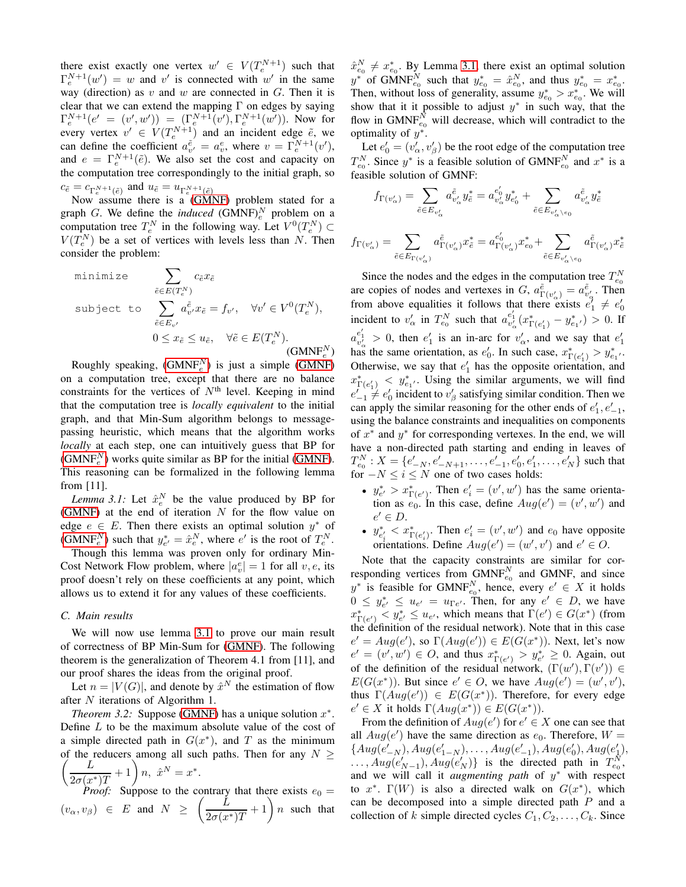there exist exactly one vertex  $w' \in V(T_e^{N+1})$  such that  $\Gamma_e^{N+1}(w') = w$  and v' is connected with w' in the same way (direction) as  $v$  and  $w$  are connected in  $G$ . Then it is clear that we can extend the mapping  $\Gamma$  on edges by saying  $\Gamma_e^{N+1}(e' = (v', w')) = (\Gamma_e^{N+1}(v'), \Gamma_e^{N+1}(w'))$ . Now for every vertex  $v' \in V(T_e^{N+1})$  and an incident edge  $\tilde{e}$ , we can define the coefficient  $a_{v'}^{\tilde{e}} = a_v^e$ , where  $v = \Gamma_e^{N+1}(v')$ , and  $e = \Gamma_e^{N+1}(\tilde{e})$ . We also set the cost and capacity on the computation tree correspondingly to the initial graph, so  $c_{\tilde{e}} = c_{\Gamma_{e}^{N+1}(\tilde{e})}$  and  $u_{\tilde{e}} = u_{\Gamma_{e}^{N+1}(\tilde{e})}$ 

Now assume there is a [\(GMNF\)](#page-1-0) problem stated for a graph G. We define the *induced* (GMNF) $_e^N$  problem on a computation tree  $T_e^N$  in the following way. Let  $V^0(T_e^N) \subset$  $V(T_e^N)$  be a set of vertices with levels less than N. Then consider the problem:

minimize  
\n
$$
\sum_{\tilde{e} \in E(T_c^N)} c_{\tilde{e}} x_{\tilde{e}}
$$
\nsubject to  
\n
$$
\sum_{\tilde{e} \in E_{v'}} a_{v'}^{\tilde{e}} x_{\tilde{e}} = f_{v'}, \quad \forall v' \in V^0(T_e^N),
$$
\n
$$
0 \le x_{\tilde{e}} \le u_{\tilde{e}}, \quad \forall \tilde{e} \in E(T_e^N).
$$
\n(GMNF<sup>N</sup><sub>e</sub>)

Roughly speaking,  $(GMNF_e^N)$  $(GMNF_e^N)$  is just a simple  $(GMNF_e)$ on a computation tree, except that there are no balance constraints for the vertices of  $N<sup>th</sup>$  level. Keeping in mind that the computation tree is *locally equivalent* to the initial graph, and that Min-Sum algorithm belongs to messagepassing heuristic, which means that the algorithm works *locally* at each step, one can intuitively guess that BP for  $(GMNF_e^N)$  $(GMNF_e^N)$  works quite similar as BP for the initial [\(GMNF\)](#page-1-0). This reasoning can be formalized in the following lemma from [11].

<span id="page-4-1"></span>*Lemma 3.1:* Let  $\hat{x}_e^N$  be the value produced by BP for [\(GMNF\)](#page-1-0) at the end of iteration  $N$  for the flow value on edge  $e \in E$ . Then there exists an optimal solution  $y^*$  of [\(GMNF](#page-4-0)<sub>e</sub><sup>N</sup>) such that  $y_{e'}^* = \hat{x}_e^N$ , where  $e'$  is the root of  $T_e^N$ .

Though this lemma was proven only for ordinary Min-Cost Network Flow problem, where  $|a_v^e| = 1$  for all  $v, e$ , its proof doesn't rely on these coefficients at any point, which allows us to extend it for any values of these coefficients.

## *C. Main results*

We will now use lemma [3.1](#page-4-1) to prove our main result of correctness of BP Min-Sum for [\(GMNF\)](#page-1-0). The following theorem is the generalization of Theorem 4.1 from [11], and our proof shares the ideas from the original proof.

Let  $n = |V(G)|$ , and denote by  $\hat{x}^N$  the estimation of flow after N iterations of Algorithm 1.

<span id="page-4-2"></span>*Theorem 3.2:* Suppose [\(GMNF\)](#page-1-0) has a unique solution  $x^*$ . Define  $L$  to be the maximum absolute value of the cost of a simple directed path in  $G(x^*)$ , and T as the minimum of the reducers among all such paths. Then for any  $(L_{1})$ of the reducers among all such paths. Then for any  $N >$  $\frac{L}{2\sigma(x^*)T}+1\bigg)\,n,\,\,\,\hat{x}^N=x^*.$ 

*Proof:* Suppose to the contrary that there exists  $e_0 =$  $(v_\alpha, v_\beta) \in E$  and  $N \geq \left(\frac{L}{2\pi\sqrt{N}}\right)$  $\frac{\tilde{L}}{2\sigma(x^*)T} + 1$  n such that  $\hat{x}_{e_0}^N \neq x_{e_0}^*$ . By Lemma [3.1,](#page-4-1) there exist an optimal solution  $x_{e_0} \neq x_{e_0}$ . By Lemma 5.1, there exist an optimal solution<br>  $y^*$  of GMNF<sub>c</sub><sup>N</sup> such that  $y_{e_0}^* = \hat{x}_{e_0}^N$ , and thus  $y_{e_0}^* = x_{e_0}^*$ . Then, without loss of generality, assume  $y_{e_0}^* > x_{e_0}^*$ . We will show that it it possible to adjust  $y^*$  in such way, that the flow in GMNF $_{e_0}^{\bar{N}}$  will decrease, which will contradict to the optimality of  $y^*$ .

Let  $e'_0 = (v'_\alpha, v'_\beta)$  be the root edge of the computation tree  $T_{e_0}^N$ . Since  $y^*$  is a feasible solution of GMNF<sub> $_{e_0}^N$ </sub> and  $x^*$  is a feasible solution of GMNF:

$$
\begin{split} f_{\Gamma(v'_\alpha)}&=\sum_{\tilde{e}\in E_{v'_\alpha}}a^{\tilde{e}}_{v'_\alpha}y^*_{\tilde{e}}=a^{e'_0}_{v'_\alpha}y^*_{e'_0}+\sum_{\tilde{e}\in E_{v'_\alpha\setminus e_0}}a^{\tilde{e}}_{v'_\alpha}y^*_{\tilde{e}}\\ f_{\Gamma(v'_\alpha)}&=\sum_{\tilde{e}\in E_{\Gamma(v'_\alpha)}}a^{\tilde{e}}_{\Gamma(v'_\alpha)}x^*_{\tilde{e}}=a^{e'_0}_{\Gamma(v'_\alpha)}x^*_{e_0}+\sum_{\tilde{e}\in E_{v'_\alpha\setminus e_0}}a^{\tilde{e}}_{\Gamma(v'_\alpha)}x^*_{\tilde{e}} \end{split}
$$

<span id="page-4-0"></span>Since the nodes and the edges in the computation tree  $T_{e_0}^N$ are copies of nodes and vertexes in G,  $a_{\Gamma(v'_\alpha)}^{\tilde{e}} = a_{v'_\alpha}^{\tilde{e}}$ . Then from above equalities it follows that there exists  $e_1^{\gamma} \neq e_0^{\gamma}$ incident to  $v'_\n\alpha$  in  $T_{e_0}^N$  such that  $a_{v'_\n\alpha}^{e'_1}(x_{\Gamma(e'_1)}^* - y_{e_1'}^*) > 0$ . If  $a_{v'_\alpha}^{e'_1} > 0$ , then  $e'_1$  is an in-arc for  $v'_\alpha$ , and we say that  $e'_1$ has the same orientation, as  $e'_0$ . In such case,  $x^*_{\Gamma(e'_1)} > y^*_{e_1}$ . Otherwise, we say that  $e'_1$  has the opposite orientation, and  $x_{\Gamma(e'_1)}^* < y_{e_1}^*$ . Using the similar arguments, we will find  $e'_{-1} \neq e'_0$  incident to  $v'_\beta$  satisfying similar condition. Then we can apply the similar reasoning for the other ends of  $e'_1, e'_{-1}$ , using the balance constraints and inequalities on components of  $x^*$  and  $y^*$  for corresponding vertexes. In the end, we will have a non-directed path starting and ending in leaves of  $T_{e_0}^N : X = \{e'_{-N}, e'_{-N+1}, \ldots, e'_{-1}, e'_0, e'_1, \ldots, e'_N\}$  such that for  $-N \leq i \leq N$  one of two cases holds:

- $y_{e'}^* > x_{\Gamma(e')}^*$ . Then  $e'_i = (v', w')$  has the same orientation as  $e_0$ . In this case, define  $Aug(e') = (v', w')$  and  $e' \in D$ .
- $y_{e'_i}^* < x_{\Gamma(e'_i)}^*$ . Then  $e'_i = (v', w')$  and  $e_0$  have opposite orientations. Define  $Aug(e') = (w', v')$  and  $e' \in O$ .

Note that the capacity constraints are similar for corresponding vertices from  $\text{GMNF}_{e_0}^N$  and GMNF, and since  $y^*$  is feasible for GMNF<sup>N</sup><sub>e<sub>0</sub></sub>, hence, every  $e' \in X$  it holds  $0 \leq y_{e'}^* \leq u_{e'} = u_{\Gamma e'}$ . Then, for any  $e' \in D$ , we have  $x^*_{\Gamma(e')} < y^*_{e'} \leq u_{e'}$ , which means that  $\Gamma(e') \in G(x^*)$  (from the definition of the residual network). Note that in this case  $e' = Aug(e'),$  so  $\Gamma(Aug(e')) \in E(G(x^*))$ . Next, let's now  $e' = (v', w') \in O$ , and thus  $x^*_{\Gamma(e')} > y^*_{e'} \geq 0$ . Again, out of the definition of the residual network,  $(\Gamma(w'), \Gamma(v')) \in$  $E(G(x^*))$ . But since  $e' \in O$ , we have  $Aug(e') = (w', v')$ , thus  $\Gamma(Aug(e')) \in E(G(x^*))$ . Therefore, for every edge  $e' \in X$  it holds  $\Gamma(Aug(x^*)) \in E(G(x^*))$ .

From the definition of  $Aug(e')$  for  $e' \in X$  one can see that all  $Aug(e')$  have the same direction as  $e_0$ . Therefore,  $W =$ { $Aug(e'_{-N}), Aug(e'_{1-N}), \ldots, Aug(e'_{-1}), Aug(e'_{0}), Aug(e'_{1}),$  $\dots$ ,  $Aug(e'_{N-1})$ ,  $Aug(e'_{N})$ } is the directed path in  $T_{e_0}^N$ , and we will call it *augmenting path* of y <sup>∗</sup> with respect to  $x^*$ .  $\Gamma(W)$  is also a directed walk on  $G(x^*)$ , which can be decomposed into a simple directed path P and a collection of k simple directed cycles  $C_1, C_2, \ldots, C_k$ . Since